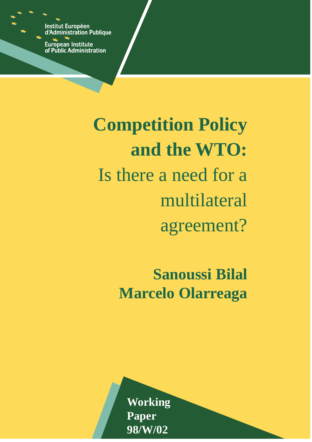**Institut Européen** d'Administration Publique

European Institute<br>of Public Administration

**Competition Policy and the WTO:** Is there a need for a multilateral agreement?

> **Sanoussi Bilal Marcelo Olarreaga**

**Working Paper 98/W/02**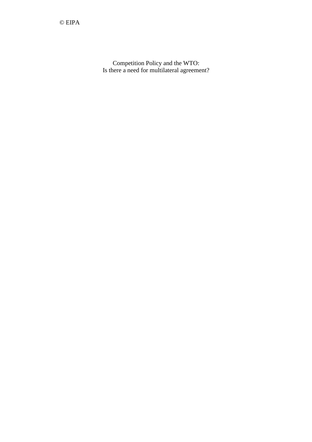Competition Policy and the WTO: Is there a need for multilateral agreement?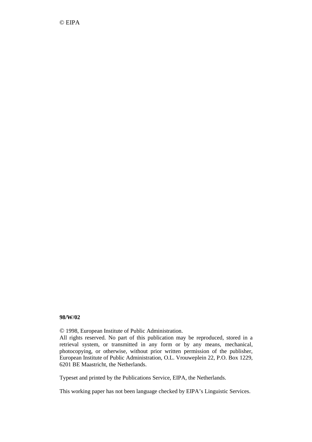© EIPA

#### **98/W/02**

© 1998, European Institute of Public Administration.

All rights reserved. No part of this publication may be reproduced, stored in a retrieval system, or transmitted in any form or by any means, mechanical, photocopying, or otherwise, without prior written permission of the publisher, European Institute of Public Administration, O.L. Vrouweplein 22, P.O. Box 1229, 6201 BE Maastricht, the Netherlands.

Typeset and printed by the Publications Service, EIPA, the Netherlands.

This working paper has not been language checked by EIPA's Linguistic Services.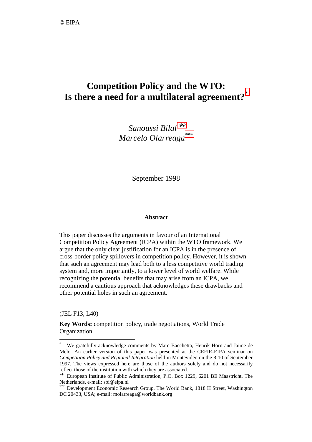# **Competition Policy and the WTO: Is there a need for a multilateral agreement?\***

*Sanoussi Bilal* ∗∗ *Marcelo Olarreaga\*\*\**

September 1998

#### **Abstract**

This paper discusses the arguments in favour of an International Competition Policy Agreement (ICPA) within the WTO framework. We argue that the only clear justification for an ICPA is in the presence of cross-border policy spillovers in competition policy. However, it is shown that such an agreement may lead both to a less competitive world trading system and, more importantly, to a lower level of world welfare. While recognizing the potential benefits that may arise from an ICPA, we recommend a cautious approach that acknowledges these drawbacks and other potential holes in such an agreement.

(JEL F13, L40)

 $\overline{a}$ 

**Key Words:** competition policy, trade negotiations, World Trade Organization.

<sup>\*</sup> We gratefully acknowledge comments by Marc Bacchetta, Henrik Horn and Jaime de Melo. An earlier version of this paper was presented at the CEFIR-EIPA seminar on *Competition Policy and Regional Integration* held in Montevideo on the 8-10 of September 1997. The views expressed here are those of the authors solely and do not necessarily reflect those of the institution with which they are associated.

<sup>∗∗</sup> European Institute of Public Administration, P.O. Box 1229, 6201 BE Maastricht, The Netherlands, e-mail: sbi@eipa.nl

<sup>\*\*\*</sup> Development Economic Research Group, The World Bank, 1818 H Street, Washington DC 20433, USA; e-mail: molarreaga@worldbank.org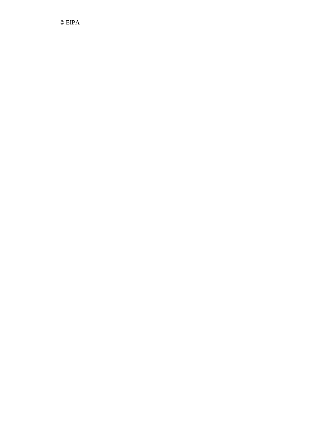© EIPA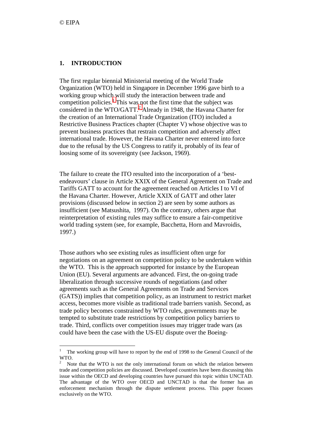## **1. INTRODUCTION**

The first regular biennial Ministerial meeting of the World Trade Organization (WTO) held in Singapore in December 1996 gave birth to a working group which will study the interaction between trade and competition policies.<sup>1</sup> This was not the first time that the subject was considered in the WTO/GATT.<sup>2</sup> Already in 1948, the Havana Charter for the creation of an International Trade Organization (ITO) included a Restrictive Business Practices chapter (Chapter V) whose objective was to prevent business practices that restrain competition and adversely affect international trade. However, the Havana Charter never entered into force due to the refusal by the US Congress to ratify it, probably of its fear of loosing some of its sovereignty (see Jackson, 1969).

The failure to create the ITO resulted into the incorporation of a 'bestendeavours' clause in Article XXIX of the General Agreement on Trade and Tariffs GATT to account for the agreement reached on Articles I to VI of the Havana Charter. However, Article XXIX of GATT and other later provisions (discussed below in section 2) are seen by some authors as insufficient (see Matsushita, 1997). On the contrary, others argue that reinterpretation of existing rules may suffice to ensure a fair-competitive world trading system (see, for example, Bacchetta, Horn and Mavroidis, 1997.)

Those authors who see existing rules as insufficient often urge for negotiations on an agreement on competition policy to be undertaken within the WTO. This is the approach supported for instance by the European Union (EU). Several arguments are advanced. First, the on-going trade liberalization through successive rounds of negotiations (and other agreements such as the General Agreements on Trade and Services (GATS)) implies that competition policy, as an instrument to restrict market access, becomes more visible as traditional trade barriers vanish. Second, as trade policy becomes constrained by WTO rules, governments may be tempted to substitute trade restrictions by competition policy barriers to trade. Third, conflicts over competition issues may trigger trade wars (as could have been the case with the US-EU dispute over the Boeing-

The working group will have to report by the end of 1998 to the General Council of the WTO.

<sup>2</sup> Note that the WTO is not the only international forum on which the relation between trade and competition policies are discussed. Developed countries have been discussing this issue within the OECD and developing countries have pursued this topic within UNCTAD. The advantage of the WTO over OECD and UNCTAD is that the former has an enforcement mechanism through the dispute settlement process. This paper focuses exclusively on the WTO.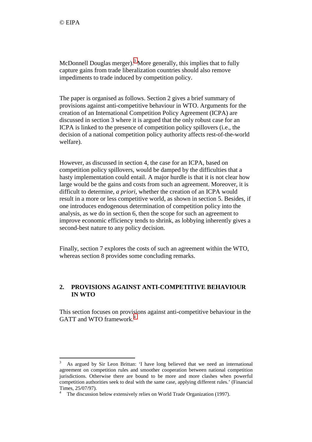McDonnell Douglas merger).<sup>3</sup> More generally, this implies that to fully capture gains from trade liberalization countries should also remove impediments to trade induced by competition policy.

The paper is organised as follows. Section 2 gives a brief summary of provisions against anti-competitive behaviour in WTO. Arguments for the creation of an International Competition Policy Agreement (ICPA) are discussed in section 3 where it is argued that the only robust case for an ICPA is linked to the presence of competition policy spillovers (i.e., the decision of a national competition policy authority affects rest-of-the-world welfare).

However, as discussed in section 4, the case for an ICPA, based on competition policy spillovers, would be damped by the difficulties that a hasty implementation could entail. A major hurdle is that it is not clear how large would be the gains and costs from such an agreement. Moreover, it is difficult to determine, *a priori*, whether the creation of an ICPA would result in a more or less competitive world, as shown in section 5. Besides, if one introduces endogenous determination of competition policy into the analysis, as we do in section 6, then the scope for such an agreement to improve economic efficiency tends to shrink, as lobbying inherently gives a second-best nature to any policy decision.

Finally, section 7 explores the costs of such an agreement within the WTO, whereas section 8 provides some concluding remarks.

# **2. PROVISIONS AGAINST ANTI-COMPETITIVE BEHAVIOUR IN WTO**

This section focuses on provisions against anti-competitive behaviour in the GATT and WTO framework.<sup>4</sup>

<sup>3</sup> As argued by Sir Leon Brittan: 'I have long believed that we need an international agreement on competition rules and smoother cooperation between national competition jurisdictions. Otherwise there are bound to be more and more clashes when powerful competition authorities seek to deal with the same case, applying different rules.' (Financial Times, 25/07/97).

<sup>4</sup> The discussion below extensively relies on World Trade Organization (1997).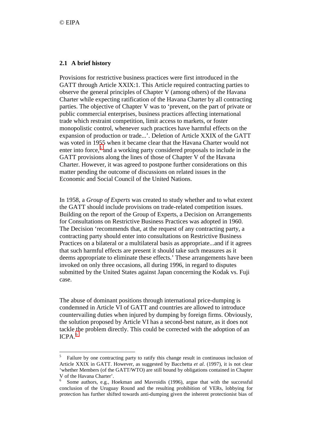# **2.1 A brief history**

Provisions for restrictive business practices were first introduced in the GATT through Article XXIX:1. This Article required contracting parties to observe the general principles of Chapter V (among others) of the Havana Charter while expecting ratification of the Havana Charter by all contracting parties. The objective of Chapter V was to 'prevent, on the part of private or public commercial enterprises, business practices affecting international trade which restraint competition, limit access to markets, or foster monopolistic control, whenever such practices have harmful effects on the expansion of production or trade...'. Deletion of Article XXIX of the GATT was voted in 1955 when it became clear that the Havana Charter would not enter into force,<sup>5</sup> and a working party considered proposals to include in the GATT provisions along the lines of those of Chapter V of the Havana Charter. However, it was agreed to postpone further considerations on this matter pending the outcome of discussions on related issues in the Economic and Social Council of the United Nations.

In 1958, a *Group of Experts* was created to study whether and to what extent the GATT should include provisions on trade-related competition issues. Building on the report of the Group of Experts, a Decision on Arrangements for Consultations on Restrictive Business Practices was adopted in 1960. The Decision 'recommends that, at the request of any contracting party, a contracting party should enter into consultations on Restrictive Business Practices on a bilateral or a multilateral basis as appropriate...and if it agrees that such harmful effects are present it should take such measures as it deems appropriate to eliminate these effects.' These arrangements have been invoked on only three occasions, all during 1996, in regard to disputes submitted by the United States against Japan concerning the Kodak vs. Fuji case.

The abuse of dominant positions through international price-dumping is condemned in Article VI of GATT and countries are allowed to introduce countervailing duties when injured by dumping by foreign firms. Obviously, the solution proposed by Article VI has a second-best nature, as it does not tackle the problem directly. This could be corrected with the adoption of an  $ICPA.<sup>6</sup>$ 

<sup>5</sup> Failure by one contracting party to ratify this change result in continuous inclusion of Article XXIX in GATT. However, as suggested by Bacchetta *et al*. (1997), it is not clear 'whether Members (of the GATT/WTO) are still bound by obligations contained in Chapter V of the Havana Charter'.

<sup>6</sup> Some authors, e.g., Hoekman and Mavroidis (1996), argue that with the successful conclusion of the Uruguay Round and the resulting prohibition of VERs, lobbying for protection has further shifted towards anti-dumping given the inherent protectionist bias of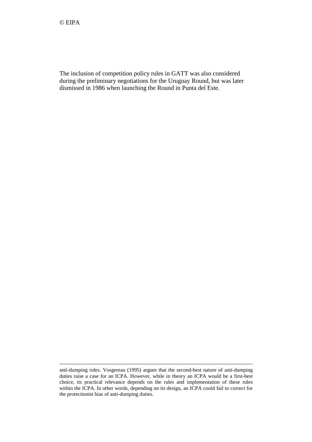1

The inclusion of competition policy rules in GATT was also considered during the preliminary negotiations for the Uruguay Round, but was later dismissed in 1986 when launching the Round in Punta del Este.

anti-dumping rules. Vosgereau (1995) argues that the second-best nature of anti-dumping duties raise a case for an ICPA. However, while in theory an ICPA would be a first-best choice, its practical relevance depends on the rules and implementation of these rules within the ICPA. In other words, depending on its design, an ICPA could fail to correct for the protectionist bias of anti-dumping duties.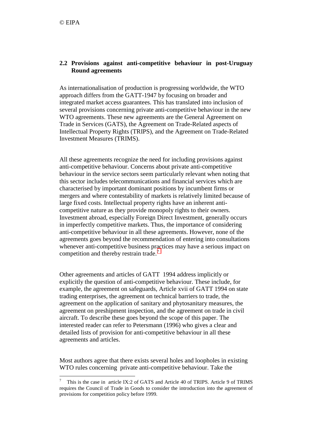# **2.2 Provisions against anti-competitive behaviour in post-Uruguay Round agreements**

As internationalisation of production is progressing worldwide, the WTO approach differs from the GATT-1947 by focusing on broader and integrated market access guarantees. This has translated into inclusion of several provisions concerning private anti-competitive behaviour in the new WTO agreements. These new agreements are the General Agreement on Trade in Services (GATS), the Agreement on Trade-Related aspects of Intellectual Property Rights (TRIPS), and the Agreement on Trade-Related Investment Measures (TRIMS).

All these agreements recognize the need for including provisions against anti-competitive behaviour. Concerns about private anti-competitive behaviour in the service sectors seem particularly relevant when noting that this sector includes telecommunications and financial services which are characterised by important dominant positions by incumbent firms or mergers and where contestability of markets is relatively limited because of large fixed costs. Intellectual property rights have an inherent anticompetitive nature as they provide monopoly rights to their owners. Investment abroad, especially Foreign Direct Investment, generally occurs in imperfectly competitive markets. Thus, the importance of considering anti-competitive behaviour in all these agreements. However, none of the agreements goes beyond the recommendation of entering into consultations whenever anti-competitive business practices may have a serious impact on competition and thereby restrain trade.<sup>7</sup>

Other agreements and articles of GATT 1994 address implicitly or explicitly the question of anti-competitive behaviour. These include, for example, the agreement on safeguards, Article xvii of GATT 1994 on state trading enterprises, the agreement on technical barriers to trade, the agreement on the application of sanitary and phytosanitary measures, the agreement on preshipment inspection, and the agreement on trade in civil aircraft. To describe these goes beyond the scope of this paper. The interested reader can refer to Petersmann (1996) who gives a clear and detailed lists of provision for anti-competitive behaviour in all these agreements and articles.

Most authors agree that there exists several holes and loopholes in existing WTO rules concerning private anti-competitive behaviour. Take the

<sup>7</sup> This is the case in article IX:2 of GATS and Article 40 of TRIPS. Article 9 of TRIMS requires the Council of Trade in Goods to consider the introduction into the agreement of provisions for competition policy before 1999.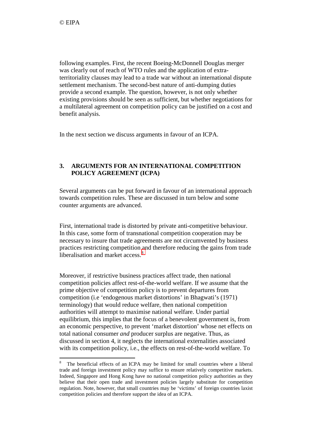following examples. First, the recent Boeing-McDonnell Douglas merger was clearly out of reach of WTO rules and the application of extraterritoriality clauses may lead to a trade war without an international dispute settlement mechanism. The second-best nature of anti-dumping duties provide a second example. The question, however, is not only whether existing provisions should be seen as sufficient, but whether negotiations for a multilateral agreement on competition policy can be justified on a cost and benefit analysis.

In the next section we discuss arguments in favour of an ICPA.

# **3. ARGUMENTS FOR AN INTERNATIONAL COMPETITION POLICY AGREEMENT (ICPA)**

Several arguments can be put forward in favour of an international approach towards competition rules. These are discussed in turn below and some counter arguments are advanced.

First, international trade is distorted by private anti-competitive behaviour. In this case, some form of transnational competition cooperation may be necessary to insure that trade agreements are not circumvented by business practices restricting competition and therefore reducing the gains from trade liberalisation and market access.<sup>8</sup>

Moreover, if restrictive business practices affect trade, then national competition policies affect rest-of-the-world welfare. If we assume that the prime objective of competition policy is to prevent departures from competition (i.e 'endogenous market distortions' in Bhagwati's (1971) terminology) that would reduce welfare, then national competition authorities will attempt to maximise national welfare. Under partial equilibrium, this implies that the focus of a benevolent government is, from an economic perspective, to prevent 'market distortion' whose net effects on total national consumer *and* producer surplus are negative. Thus, as discussed in section 4, it neglects the international externalities associated with its competition policy, i.e., the effects on rest-of-the-world welfare. To

<sup>8</sup> The beneficial effects of an ICPA may be limited for small countries where a liberal trade and foreign investment policy may suffice to ensure relatively competitive markets. Indeed, Singapore and Hong Kong have no national competition policy authorities as they believe that their open trade and investment policies largely substitute for competition regulation. Note, however, that small countries may be 'victims' of foreign countries laxist competition policies and therefore support the idea of an ICPA.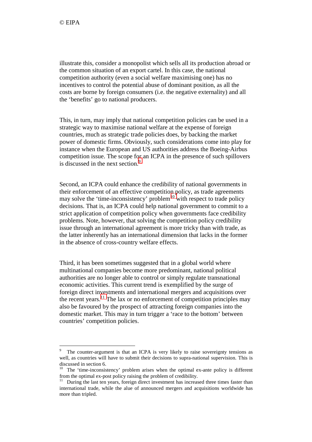illustrate this, consider a monopolist which sells all its production abroad or the common situation of an export cartel. In this case, the national competition authority (even a social welfare maximising one) has no incentives to control the potential abuse of dominant position, as all the costs are borne by foreign consumers (i.e. the negative externality) and all the 'benefits' go to national producers.

This, in turn, may imply that national competition policies can be used in a strategic way to maximise national welfare at the expense of foreign countries, much as strategic trade policies does, by backing the market power of domestic firms. Obviously, such considerations come into play for instance when the European and US authorities address the Boeing-Airbus competition issue. The scope for an ICPA in the presence of such spillovers is discussed in the next section.<sup>9</sup>

Second, an ICPA could enhance the credibility of national governments in their enforcement of an effective competition policy, as trade agreements may solve the 'time-inconsistency' problem<sup>10</sup> with respect to trade policy decisions. That is, an ICPA could help national government to commit to a strict application of competition policy when governments face credibility problems. Note, however, that solving the competition policy credibility issue through an international agreement is more tricky than with trade, as the latter inherently has an international dimension that lacks in the former in the absence of cross-country welfare effects.

Third, it has been sometimes suggested that in a global world where multinational companies become more predominant, national political authorities are no longer able to control or simply regulate transnational economic activities. This current trend is exemplified by the surge of foreign direct investments and international mergers and acquisitions over the recent years.<sup>11</sup> The lax or no enforcement of competition principles may also be favoured by the prospect of attracting foreign companies into the domestic market. This may in turn trigger a 'race to the bottom' between countries' competition policies.

<sup>9</sup> The counter-argument is that an ICPA is very likely to raise sovereignty tensions as well, as countries will have to submit their decisions to supra-national supervision. This is discussed in section 6.

<sup>&</sup>lt;sup>10</sup> The 'time-inconsistency' problem arises when the optimal ex-ante policy is different from the optimal ex-post policy raising the problem of credibility.

During the last ten years, foreign direct investment has increased three times faster than international trade, while the alue of announced mergers and acquisitions worldwide has more than tripled.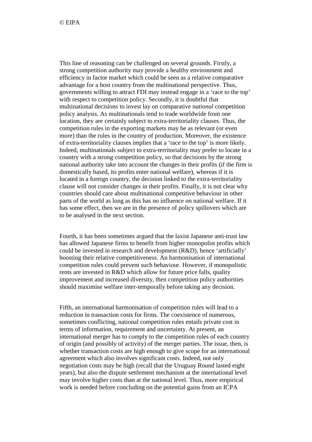This line of reasoning can be challenged on several grounds. Firstly, a strong competition authority may provide a healthy environment and efficiency in factor market which could be seen as a relative comparative advantage for a host country from the multinational perspective. Thus, governments willing to attract FDI may instead engage in a 'race to the top' with respect to competition policy. Secondly, it is doubtful that multinational decisions to invest lay on comparative *national* competition policy analysis. As multinationals tend to trade worldwide from one location, they are certainly subject to extra-territoriality clauses. Thus, the competition rules in the exporting markets may be as relevant (or even more) than the rules in the country of production. Moreover, the existence of extra-territoriality clauses implies that a 'race to the top' is more likely. Indeed, multinationals subject to extra-territoriality may prefer to locate in a country with a strong competition policy, so that decisions by the strong national authority take into account the changes in their profits (if the firm is domestically based, its profits enter national welfare), whereas if it is located in a foreign country, the decision linked to the extra-territoriality clause will not consider changes in their profits. Finally, it is not clear why countries should care about multinational competitive behaviour in other parts of the world as long as this has no influence on national welfare. If it has some effect, then we are in the presence of policy spillovers which are to be analysed in the next section.

Fourth, it has been sometimes argued that the laxist Japanese anti-trust law has allowed Japanese firms to benefit from higher monopolist profits which could be invested in research and development (R&D), hence 'artificially' boosting their relative competitiveness. An harmonisation of international competition rules could prevent such behaviour. However, if monopolistic rents are invested in R&D which allow for future price falls, quality improvement and increased diversity, then competition policy authorities should maximise welfare inter-temporally before taking any decision.

Fifth, an international harmonisation of competition rules will lead to a reduction in transaction costs for firms. The coexistence of numerous, sometimes conflicting, national competition rules entails private cost in terms of information, requirement and uncertainty. At present, an international merger has to comply to the competition rules of each country of origin (and possibly of activity) of the merger parties. The issue, then, is whether transaction costs are high enough to give scope for an international agreement which also involves significant costs. Indeed, not only negotiation costs may be high (recall that the Uruguay Round lasted eight years), but also the dispute settlement mechanism at the international level may involve higher costs than at the national level. Thus, more empirical work is needed before concluding on the potential gains from an ICPA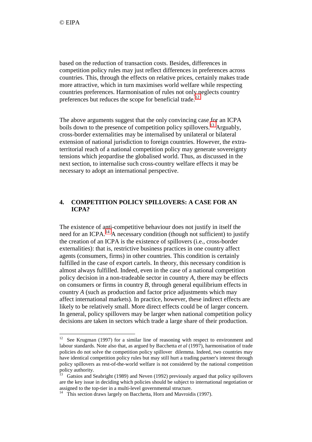based on the reduction of transaction costs. Besides, differences in competition policy rules may just reflect differences in preferences across countries. This, through the effects on relative prices, certainly makes trade more attractive, which in turn maximises world welfare while respecting countries preferences. Harmonisation of rules not only neglects country preferences but reduces the scope for beneficial trade.<sup>12</sup>

The above arguments suggest that the only convincing case for an ICPA boils down to the presence of competition policy spillovers.<sup>13</sup> Arguably, cross-border externalities may be internalised by unilateral or bilateral extension of national jurisdiction to foreign countries. However, the extraterritorial reach of a national competition policy may generate sovereignty tensions which jeopardise the globalised world. Thus, as discussed in the next section, to internalise such cross-country welfare effects it may be necessary to adopt an international perspective.

# **4. COMPETITION POLICY SPILLOVERS: A CASE FOR AN ICPA?**

The existence of anti-competitive behaviour does not justify in itself the need for an ICPA.<sup>14</sup> A necessary condition (though not sufficient) to justify the creation of an ICPA is the existence of spillovers (i.e., cross-border externalities): that is, restrictive business practices in one country affect agents (consumers, firms) in other countries. This condition is certainly fulfilled in the case of export cartels. In theory, this necessary condition is almost always fulfilled. Indeed, even in the case of a national competition policy decision in a non-tradeable sector in country *A*, there may be effects on consumers or firms in country *B*, through general equilibrium effects in country *A* (such as production and factor price adjustments which may affect international markets). In practice, however, these indirect effects are likely to be relatively small. More direct effects could be of larger concern. In general, policy spillovers may be larger when national competition policy decisions are taken in sectors which trade a large share of their production.

 $12$  See Krugman (1997) for a similar line of reasoning with respect to environment and labour standards. Note also that, as argued by Bacchetta *et al* (1997), harmonisation of trade policies do not solve the competition policy spillover dilemma. Indeed, two countries may have identical competition policy rules but may still hurt a trading partner's interest through policy spillovers as rest-of-the-world welfare is not considered by the national competition  $\frac{1}{2}$  policy authority.

Gatsios and Seabright (1989) and Neven (1992) previously argued that policy spillovers are the key issue in deciding which policies should be subject to international negotiation or assigned to the top-tier in a multi-level governmental structure.

<sup>&</sup>lt;sup>14</sup> This section draws largely on Bacchetta, Horn and Mavroidis (1997).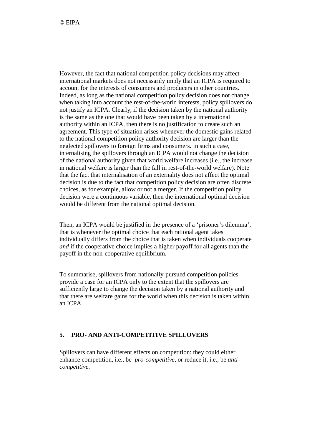However, the fact that national competition policy decisions may affect international markets does not necessarily imply that an ICPA is required to account for the interests of consumers and producers in other countries. Indeed, as long as the national competition policy decision does not change when taking into account the rest-of-the-world interests, policy spillovers do not justify an ICPA. Clearly, if the decision taken by the national authority is the same as the one that would have been taken by a international authority within an ICPA, then there is no justification to create such an agreement. This type of situation arises whenever the domestic gains related to the national competition policy authority decision are larger than the neglected spillovers to foreign firms and consumers. In such a case, internalising the spillovers through an ICPA would not change the decision of the national authority given that world welfare increases (i.e., the increase in national welfare is larger than the fall in rest-of-the-world welfare). Note that the fact that internalisation of an externality does not affect the optimal decision is due to the fact that competition policy decision are often discrete choices, as for example, allow or not a merger. If the competition policy decision were a continuous variable, then the international optimal decision would be different from the national optimal decision.

Then, an ICPA would be justified in the presence of a 'prisoner's dilemma', that is whenever the optimal choice that each rational agent takes individually differs from the choice that is taken when individuals cooperate *and* if the cooperative choice implies a higher payoff for all agents than the payoff in the non-cooperative equilibrium.

To summarise, spillovers from nationally-pursued competition policies provide a case for an ICPA only to the extent that the spillovers are sufficiently large to change the decision taken by a national authority and that there are welfare gains for the world when this decision is taken within an ICPA.

## **5. PRO- AND ANTI-COMPETITIVE SPILLOVERS**

Spillovers can have different effects on competition: they could either enhance competition, i.e., be *pro-competitive*, or reduce it, i.e., be *anticompetitive*.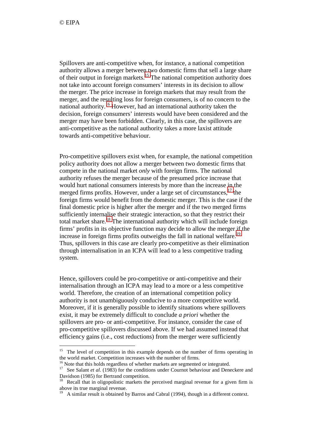Spillovers are anti-competitive when, for instance, a national competition authority allows a merger between two domestic firms that sell a large share of their output in foreign markets.<sup>15</sup> The national competition authority does not take into account foreign consumers' interests in its decision to allow the merger. The price increase in foreign markets that may result from the merger, and the resulting loss for foreign consumers, is of no concern to the national authority.<sup>16</sup> However, had an international authority taken the decision, foreign consumers' interests would have been considered and the merger may have been forbidden. Clearly, in this case, the spillovers are anti-competitive as the national authority takes a more laxist attitude towards anti-competitive behaviour.

Pro-competitive spillovers exist when, for example, the national competition policy authority does not allow a merger between two domestic firms that compete in the national market *only* with foreign firms. The national authority refuses the merger because of the presumed price increase that would hurt national consumers interests by more than the increase in the merged firms profits. However, under a large set of circumstances,  $17$  the foreign firms would benefit from the domestic merger. This is the case if the final domestic price is higher after the merger and if the two merged firms sufficiently internalise their strategic interaction, so that they restrict their total market share.<sup>18</sup> The international authority which will include foreign firms' profits in its objective function may decide to allow the merger if the increase in foreign firms profits outweighs the fall in national welfare.<sup>19</sup> Thus, spillovers in this case are clearly pro-competitive as their elimination through internalisation in an ICPA will lead to a less competitive trading system.

Hence, spillovers could be pro-competitive or anti-competitive and their internalisation through an ICPA may lead to a more or a less competitive world. Therefore, the creation of an international competition policy authority is not unambiguously conducive to a more competitive world. Moreover, if it is generally possible to identify situations where spillovers exist, it may be extremely difficult to conclude *a priori* whether the spillovers are pro- or anti-competitive. For instance, consider the case of pro-competitive spillovers discussed above. If we had assumed instead that efficiency gains (i.e., cost reductions) from the merger were sufficiently

<sup>&</sup>lt;sup>15</sup> The level of competition in this example depends on the number of firms operating in the world market. Competition increases with the number of firms.

<sup>&</sup>lt;sup>16</sup> Note that this holds regardless of whether markets are segmented or integrated.

<sup>&</sup>lt;sup>17</sup> See Salant *et al.* (1983) for the conditions under Cournot behaviour and Deneckere and Davidson (1985) for Bertrand competition.

<sup>&</sup>lt;sup>18</sup> Recall that in oligopolistic markets the perceived marginal revenue for a given firm is above its true marginal revenue.

<sup>19</sup> A similar result is obtained by Barros and Cabral (1994), though in a different context.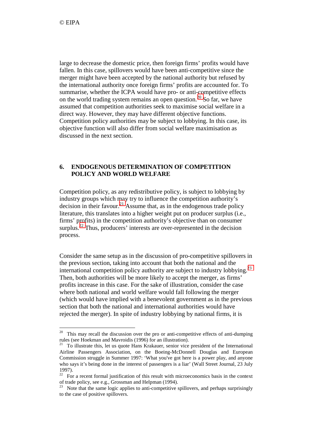large to decrease the domestic price, then foreign firms' profits would have fallen. In this case, spillovers would have been anti-competitive since the merger might have been accepted by the national authority but refused by the international authority once foreign firms' profits are accounted for. To summarise, whether the ICPA would have pro- or anti-competitive effects on the world trading system remains an open question.<sup>20</sup> So far, we have assumed that competition authorities seek to maximise social welfare in a direct way. However, they may have different objective functions. Competition policy authorities may be subject to lobbying. In this case, its objective function will also differ from social welfare maximisation as discussed in the next section.

## **6. ENDOGENOUS DETERMINATION OF COMPETITION POLICY AND WORLD WELFARE**

Competition policy, as any redistributive policy, is subject to lobbying by industry groups which may try to influence the competition authority's decision in their favour.<sup>21</sup> Assume that, as in the endogenous trade policy literature, this translates into a higher weight put on producer surplus (i.e., firms' profits) in the competition authority's objective than on consumer surplus.<sup>22</sup> Thus, producers' interests are over-represented in the decision process.

Consider the same setup as in the discussion of pro-competitive spillovers in the previous section, taking into account that both the national and the international competition policy authority are subject to industry lobbying.<sup>23</sup> Then, both authorities will be more likely to accept the merger, as firms' profits increase in this case. For the sake of illustration, consider the case where both national and world welfare would fall following the merger (which would have implied with a benevolent government as in the previous section that both the national and international authorities would have rejected the merger). In spite of industry lobbying by national firms, it is

<sup>&</sup>lt;sup>20</sup> This may recall the discussion over the pro or anti-competitive effects of anti-dumping rules (see Hoekman and Mavroidis (1996) for an illustration).

 $21$  To illustrate this, let us quote Hans Krakauer, senior vice president of the International Airline Passengers Association, on the Boeing-McDonnell Douglas and European Commission struggle in Summer 1997: 'What you've got here is a power play, and anyone who says it's being done in the interest of passengers is a liar' (Wall Street Journal, 23 July 1997).

 $22$  For a recent formal justification of this result with microeconomics basis in the context of trade policy, see e.g., Grossman and Helpman (1994).

<sup>&</sup>lt;sup>23</sup> Note that the same logic applies to anti-competitive spillovers, and perhaps surprisingly to the case of positive spillovers.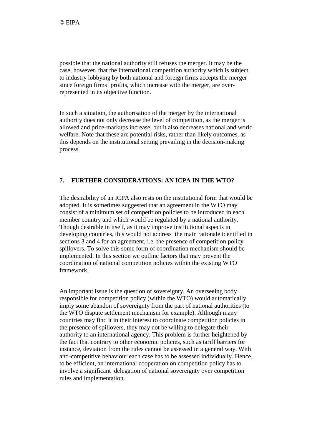possible that the national authority still refuses the merger. It may be the case, however, that the international competition authority which is subject to industry lobbying by both national and foreign firms accepts the merger since foreign firms' profits, which increase with the merger, are overrepresented in its objective function.

In such a situation, the authorisation of the merger by the international authority does not only decrease the level of competition, as the merger is allowed and price-markups increase, but it also decreases national and world welfare. Note that these are potential risks, rather than likely outcomes, as this depends on the institutional setting prevailing in the decision-making process.

# **7. FURTHER CONSIDERATIONS: AN ICPA IN THE WTO?**

The desirability of an ICPA also rests on the institutional form that would be adopted. It is sometimes suggested that an agreement in the WTO may consist of a minimum set of competition policies to be introduced in each member country and which would be regulated by a national authority. Though desirable in itself, as it may improve institutional aspects in developing countries, this would not address the main rationale identified in sections 3 and 4 for an agreement, i.e. the presence of competition policy spillovers. To solve this some form of coordination mechanism should be implemented. In this section we outline factors that may prevent the coordination of national competition policies within the existing WTO framework.

An important issue is the question of sovereignty. An overseeing body responsible for competition policy (within the WTO) would automatically imply some abandon of sovereignty from the part of national authorities (to the WTO dispute settlement mechanism for example). Although many countries may find it in their interest to coordinate competition policies in the presence of spillovers, they may not be willing to delegate their authority to an international agency. This problem is further heightened by the fact that contrary to other economic policies, such as tariff barriers for instance, deviation from the rules cannot be assessed in a general way. With anti-competitive behaviour each case has to be assessed individually. Hence, to be efficient, an international cooperation on competition policy has to involve a significant delegation of national sovereignty over competition rules and implementation.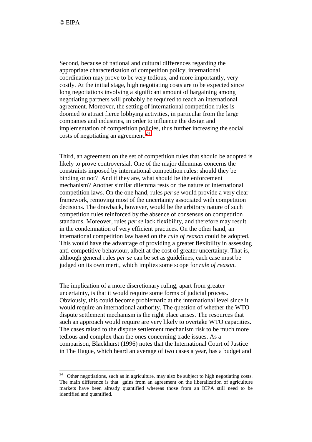Second, because of national and cultural differences regarding the appropriate characterisation of competition policy, international coordination may prove to be very tedious, and more importantly, very costly. At the initial stage, high negotiating costs are to be expected since long negotiations involving a significant amount of bargaining among negotiating partners will probably be required to reach an international agreement. Moreover, the setting of international competition rules is doomed to attract fierce lobbying activities, in particular from the large companies and industries, in order to influence the design and implementation of competition policies, thus further increasing the social costs of negotiating an agreement.<sup>24</sup>

Third, an agreement on the set of competition rules that should be adopted is likely to prove controversial. One of the major dilemmas concerns the constraints imposed by international competition rules: should they be binding or not? And if they are, what should be the enforcement mechanism? Another similar dilemma rests on the nature of international competition laws. On the one hand, rules *per se* would provide a very clear framework, removing most of the uncertainty associated with competition decisions. The drawback, however, would be the arbitrary nature of such competition rules reinforced by the absence of consensus on competition standards. Moreover, rules *per se* lack flexibility, and therefore may result in the condemnation of very efficient practices. On the other hand, an international competition law based on the *rule of reason* could be adopted. This would have the advantage of providing a greater flexibility in assessing anti-competitive behaviour, albeit at the cost of greater uncertainty. That is, although general rules *per se* can be set as guidelines, each case must be judged on its own merit, which implies some scope for *rule of reason*.

The implication of a more discretionary ruling, apart from greater uncertainty, is that it would require some forms of judicial process. Obviously, this could become problematic at the international level since it would require an international authority. The question of whether the WTO dispute settlement mechanism is the right place arises. The resources that such an approach would require are very likely to overtake WTO capacities. The cases raised to the dispute settlement mechanism risk to be much more tedious and complex than the ones concerning trade issues. As a comparison, Blackhurst (1996) notes that the International Court of Justice in The Hague, which heard an average of two cases a year, has a budget and

 $24$  Other negotiations, such as in agriculture, may also be subject to high negotiating costs. The main difference is that gains from an agreement on the liberalization of agriculture markets have been already quantified whereas those from an ICPA still need to be identified and quantified.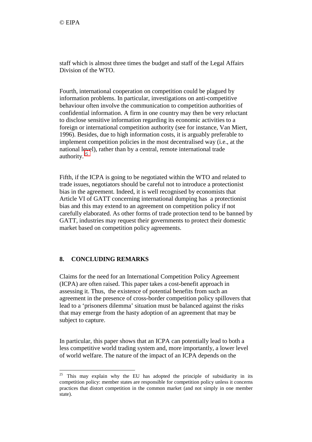staff which is almost three times the budget and staff of the Legal Affairs Division of the WTO.

Fourth, international cooperation on competition could be plagued by information problems. In particular, investigations on anti-competitive behaviour often involve the communication to competition authorities of confidential information. A firm in one country may then be very reluctant to disclose sensitive information regarding its economic activities to a foreign or international competition authority (see for instance, Van Miert, 1996). Besides, due to high information costs, it is arguably preferable to implement competition policies in the most decentralised way (i.e., at the national level), rather than by a central, remote international trade authority.<sup>25</sup>

Fifth, if the ICPA is going to be negotiated within the WTO and related to trade issues, negotiators should be careful not to introduce a protectionist bias in the agreement. Indeed, it is well recognised by economists that Article VI of GATT concerning international dumping has a protectionist bias and this may extend to an agreement on competition policy if not carefully elaborated. As other forms of trade protection tend to be banned by GATT, industries may request their governments to protect their domestic market based on competition policy agreements.

## **8. CONCLUDING REMARKS**

 $\overline{a}$ 

Claims for the need for an International Competition Policy Agreement (ICPA) are often raised. This paper takes a cost-benefit approach in assessing it. Thus, the existence of potential benefits from such an agreement in the presence of cross-border competition policy spillovers that lead to a 'prisoners dilemma' situation must be balanced against the risks that may emerge from the hasty adoption of an agreement that may be subject to capture.

In particular, this paper shows that an ICPA can potentially lead to both a less competitive world trading system and, more importantly, a lower level of world welfare. The nature of the impact of an ICPA depends on the

 $25$  This may explain why the EU has adopted the principle of subsidiarity in its competition policy: member states are responsible for competition policy unless it concerns practices that distort competition in the common market (and not simply in one member state).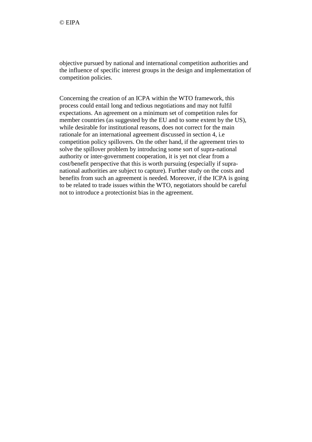objective pursued by national and international competition authorities and the influence of specific interest groups in the design and implementation of competition policies.

Concerning the creation of an ICPA within the WTO framework, this process could entail long and tedious negotiations and may not fulfil expectations. An agreement on a minimum set of competition rules for member countries (as suggested by the EU and to some extent by the US), while desirable for institutional reasons, does not correct for the main rationale for an international agreement discussed in section 4, i.e competition policy spillovers. On the other hand, if the agreement tries to solve the spillover problem by introducing some sort of supra-national authority or inter-government cooperation, it is yet not clear from a cost/benefit perspective that this is worth pursuing (especially if supranational authorities are subject to capture). Further study on the costs and benefits from such an agreement is needed. Moreover, if the ICPA is going to be related to trade issues within the WTO, negotiators should be careful not to introduce a protectionist bias in the agreement.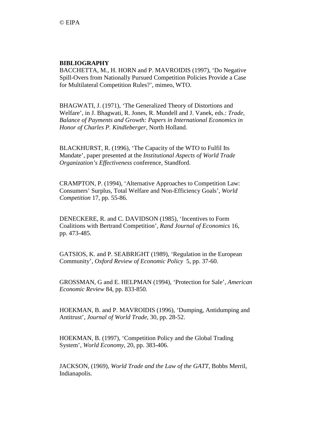# **BIBLIOGRAPHY**

BACCHETTA, M., H. HORN and P. MAVROIDIS (1997), 'Do Negative Spill-Overs from Nationally Pursued Competition Policies Provide a Case for Multilateral Competition Rules?', mimeo, WTO.

BHAGWATI, J. (1971), 'The Generalized Theory of Distortions and Welfare', in J. Bhagwati, R. Jones, R. Mundell and J. Vanek, eds.: *Trade, Balance of Payments and Growth: Papers in International Economics in Honor of Charles P. Kindleberger*, North Holland.

BLACKHURST, R. (1996), 'The Capacity of the WTO to Fulfil Its Mandate', paper presented at the *Institutional Aspects of World Trade Organization's Effectiveness* conference, Standford.

CRAMPTON, P. (1994), 'Alternative Approaches to Competition Law: Consumers' Surplus, Total Welfare and Non-Efficiency Goals', *World Competition* 17, pp. 55-86.

DENECKERE, R. and C. DAVIDSON (1985), 'Incentives to Form Coalitions with Bertrand Competition', *Rand Journal of Economics* 16, pp. 473-485.

GATSIOS, K. and P. SEABRIGHT (1989), 'Regulation in the European Community', *Oxford Review of Economic Policy* 5, pp. 37-60.

GROSSMAN, G and E. HELPMAN (1994), 'Protection for Sale', *American Economic Review* 84, pp. 833-850.

HOEKMAN, B. and P. MAVROIDIS (1996), 'Dumping, Antidumping and Antitrust', *Journal of World Trade*, 30, pp. 28-52.

HOEKMAN, B. (1997), 'Competition Policy and the Global Trading System', *World Economy*, 20, pp. 383-406.

JACKSON, (1969), *World Trade and the Law of the GATT*, Bobbs Merril, Indianapolis.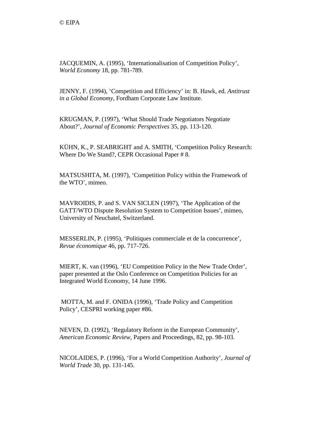JACQUEMIN, A. (1995), 'Internationalisation of Competition Policy', *World Economy* 18, pp. 781-789.

JENNY, F. (1994), 'Competition and Efficiency' in: B. Hawk, ed. *Antitrust in a Global Economy*, Fordham Corporate Law Institute.

KRUGMAN, P. (1997), 'What Should Trade Negotiators Negotiate About?', *Journal of Economic Perspectives* 35, pp. 113-120.

KÜHN, K., P. SEABRIGHT and A. SMITH, 'Competition Policy Research: Where Do We Stand?, CEPR Occasional Paper # 8.

MATSUSHITA, M. (1997), 'Competition Policy within the Framework of the WTO', mimeo.

MAVROIDIS, P. and S. VAN SICLEN (1997), 'The Application of the GATT/WTO Dispute Resolution System to Competition Issues', mimeo, University of Neuchatel, Switzerland.

MESSERLIN, P. (1995), 'Politiques commerciale et de la concurrence', *Revue économique* 46, pp. 717-726.

MIERT, K. van (1996), 'EU Competition Policy in the New Trade Order', paper presented at the Oslo Conference on Competition Policies for an Integrated World Economy, 14 June 1996.

 MOTTA, M. and F. ONIDA (1996), 'Trade Policy and Competition Policy', CESPRI working paper #86.

NEVEN, D. (1992), 'Regulatory Reform in the European Community', *American Economic Review*, Papers and Proceedings, 82, pp. 98-103.

NICOLAIDES, P. (1996), 'For a World Competition Authority', *Journal of World Trade* 30, pp. 131-145.